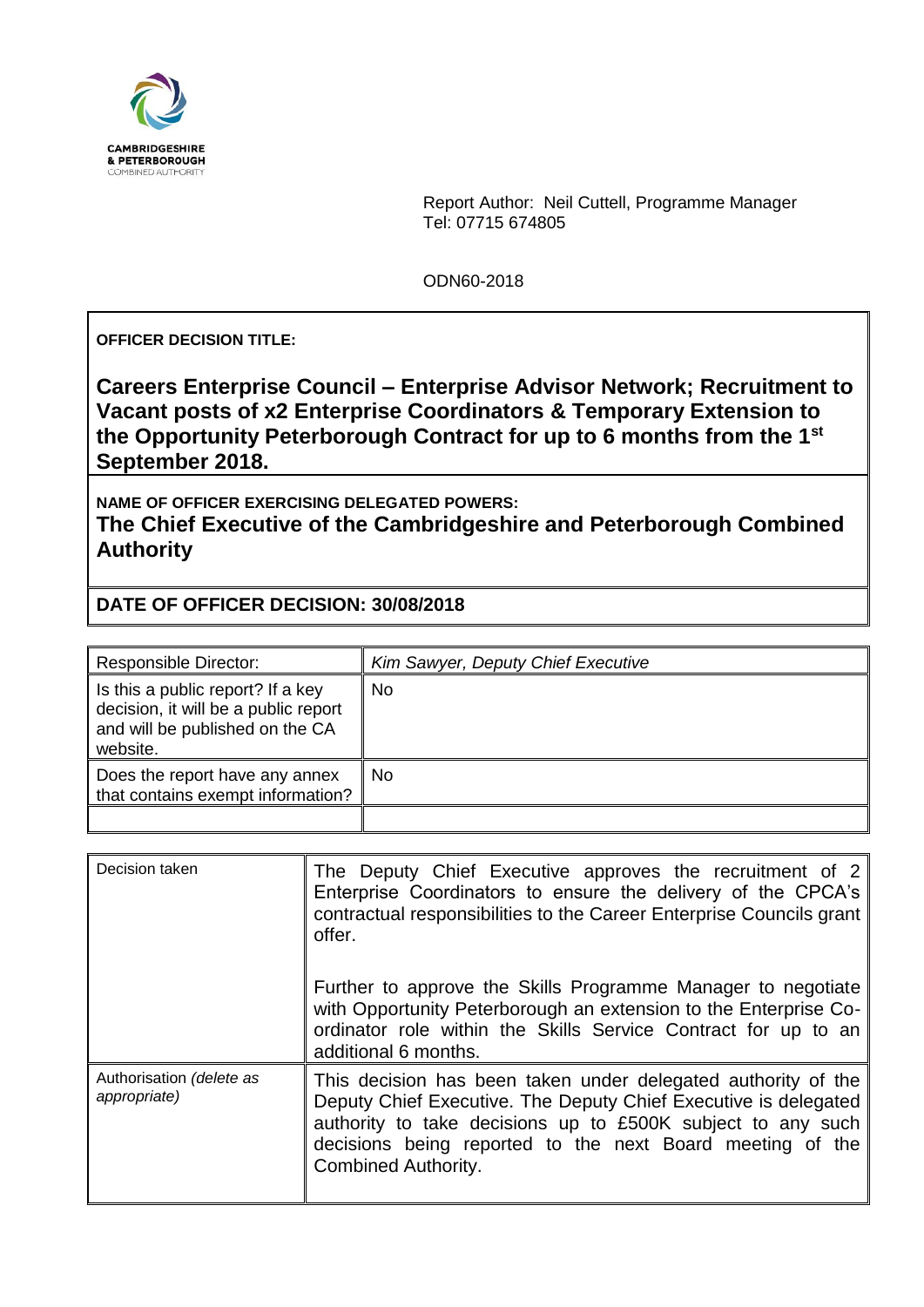

Report Author: Neil Cuttell, Programme Manager Tel: 07715 674805

ODN60-2018

**OFFICER DECISION TITLE:**

**Careers Enterprise Council – Enterprise Advisor Network; Recruitment to Vacant posts of x2 Enterprise Coordinators & Temporary Extension to the Opportunity Peterborough Contract for up to 6 months from the 1st September 2018.** 

**NAME OF OFFICER EXERCISING DELEGATED POWERS: The Chief Executive of the Cambridgeshire and Peterborough Combined Authority**

**DATE OF OFFICER DECISION: 30/08/2018**

| Responsible Director:                                                                                                    | Kim Sawyer, Deputy Chief Executive |
|--------------------------------------------------------------------------------------------------------------------------|------------------------------------|
| Is this a public report? If a key<br>decision, it will be a public report<br>and will be published on the CA<br>website. | No                                 |
| Does the report have any annex<br>that contains exempt information?                                                      | No                                 |
|                                                                                                                          |                                    |

| Decision taken                           | The Deputy Chief Executive approves the recruitment of 2<br>Enterprise Coordinators to ensure the delivery of the CPCA's<br>contractual responsibilities to the Career Enterprise Councils grant<br>offer.                                                                                 |  |  |
|------------------------------------------|--------------------------------------------------------------------------------------------------------------------------------------------------------------------------------------------------------------------------------------------------------------------------------------------|--|--|
|                                          | Further to approve the Skills Programme Manager to negotiate<br>with Opportunity Peterborough an extension to the Enterprise Co-<br>ordinator role within the Skills Service Contract for up to an<br>additional 6 months.                                                                 |  |  |
| Authorisation (delete as<br>appropriate) | This decision has been taken under delegated authority of the<br>Deputy Chief Executive. The Deputy Chief Executive is delegated<br>authority to take decisions up to £500K subject to any such<br>decisions being reported to the next Board meeting of the<br><b>Combined Authority.</b> |  |  |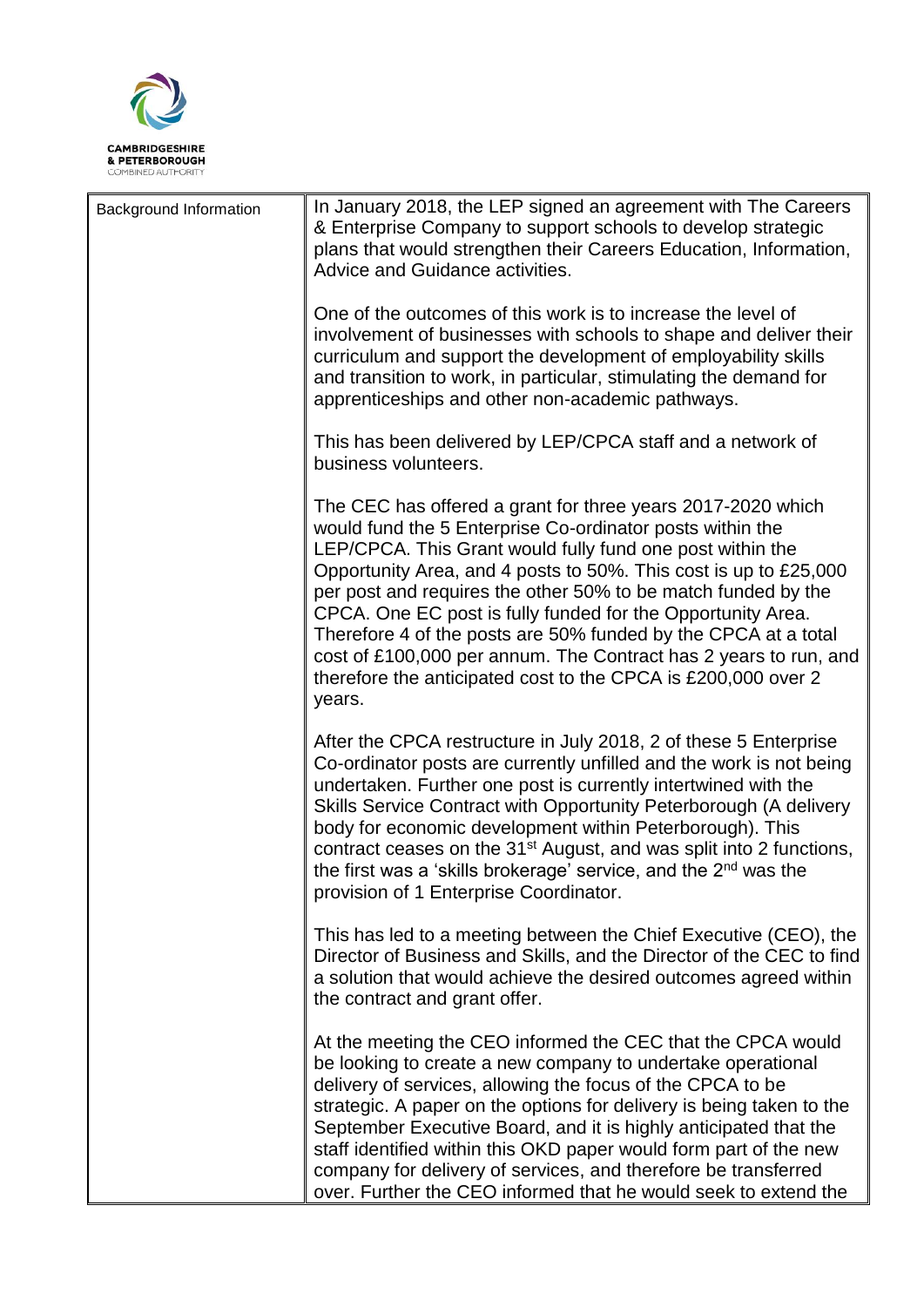

| <b>Background Information</b> | In January 2018, the LEP signed an agreement with The Careers<br>& Enterprise Company to support schools to develop strategic<br>plans that would strengthen their Careers Education, Information,<br>Advice and Guidance activities.                                                                                                                                                                                                                                                                                                                                                                      |
|-------------------------------|------------------------------------------------------------------------------------------------------------------------------------------------------------------------------------------------------------------------------------------------------------------------------------------------------------------------------------------------------------------------------------------------------------------------------------------------------------------------------------------------------------------------------------------------------------------------------------------------------------|
|                               | One of the outcomes of this work is to increase the level of<br>involvement of businesses with schools to shape and deliver their<br>curriculum and support the development of employability skills<br>and transition to work, in particular, stimulating the demand for<br>apprenticeships and other non-academic pathways.                                                                                                                                                                                                                                                                               |
|                               | This has been delivered by LEP/CPCA staff and a network of<br>business volunteers.                                                                                                                                                                                                                                                                                                                                                                                                                                                                                                                         |
|                               | The CEC has offered a grant for three years 2017-2020 which<br>would fund the 5 Enterprise Co-ordinator posts within the<br>LEP/CPCA. This Grant would fully fund one post within the<br>Opportunity Area, and 4 posts to 50%. This cost is up to £25,000<br>per post and requires the other 50% to be match funded by the<br>CPCA. One EC post is fully funded for the Opportunity Area.<br>Therefore 4 of the posts are 50% funded by the CPCA at a total<br>cost of £100,000 per annum. The Contract has 2 years to run, and<br>therefore the anticipated cost to the CPCA is £200,000 over 2<br>years. |
|                               | After the CPCA restructure in July 2018, 2 of these 5 Enterprise<br>Co-ordinator posts are currently unfilled and the work is not being<br>undertaken. Further one post is currently intertwined with the<br>Skills Service Contract with Opportunity Peterborough (A delivery<br>body for economic development within Peterborough). This<br>contract ceases on the 31 <sup>st</sup> August, and was split into 2 functions,<br>the first was a 'skills brokerage' service, and the $2nd$ was the<br>provision of 1 Enterprise Coordinator.                                                               |
|                               | This has led to a meeting between the Chief Executive (CEO), the<br>Director of Business and Skills, and the Director of the CEC to find<br>a solution that would achieve the desired outcomes agreed within<br>the contract and grant offer.                                                                                                                                                                                                                                                                                                                                                              |
|                               | At the meeting the CEO informed the CEC that the CPCA would<br>be looking to create a new company to undertake operational<br>delivery of services, allowing the focus of the CPCA to be<br>strategic. A paper on the options for delivery is being taken to the<br>September Executive Board, and it is highly anticipated that the<br>staff identified within this OKD paper would form part of the new<br>company for delivery of services, and therefore be transferred<br>over. Further the CEO informed that he would seek to extend the                                                             |